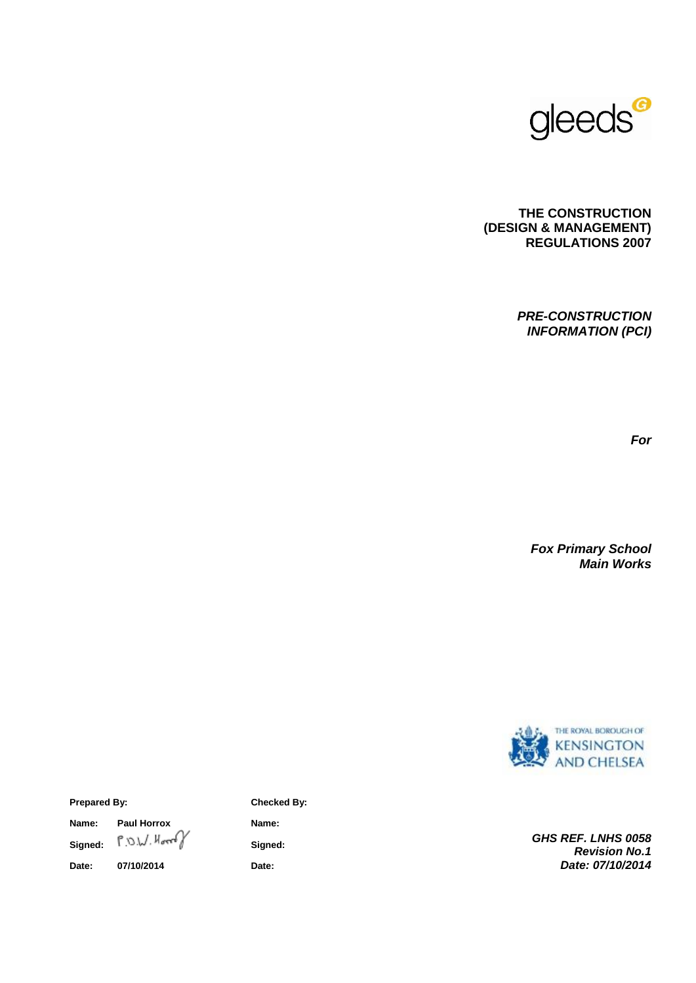

### **THE CONSTRUCTION (DESIGN & MANAGEMENT) REGULATIONS 2007**

*PRE-CONSTRUCTION INFORMATION (PCI)*

*For*

*Fox Primary School Main Works*



*GHS REF. LNHS 0058 Revision No.1 Date: 07/10/2014*

#### **Prepared By: Checked By:**

**Name:** Paul Horrox **Name:** Name: **Signed: Signed: Date: 07/10/2014 Date:**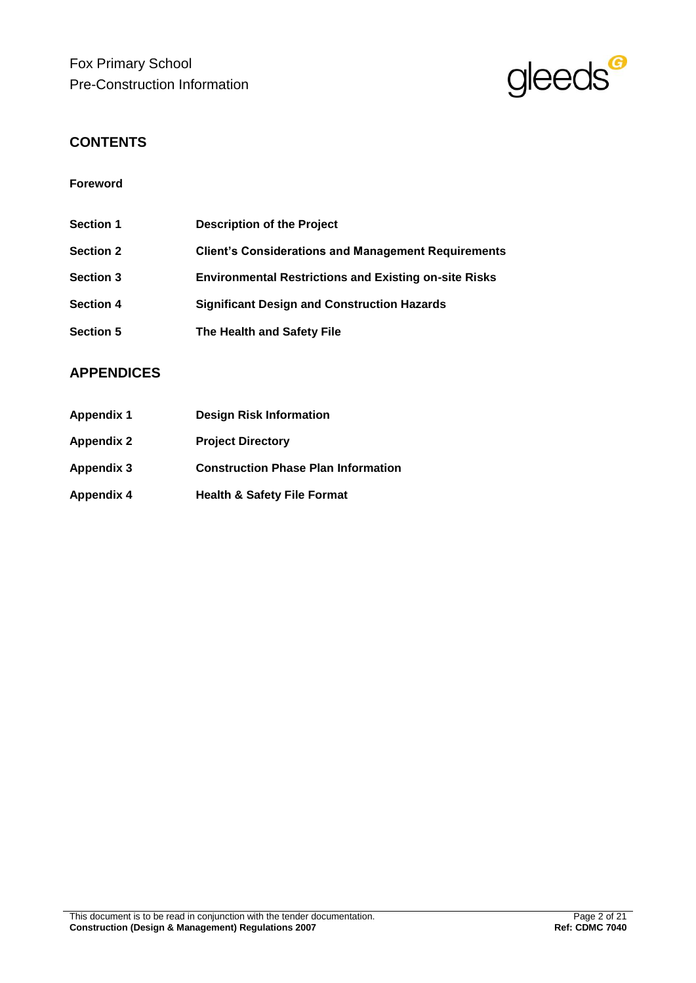Fox Primary School Pre-Construction Information



## **CONTENTS**

## **Foreword**

| <b>Section 1</b> | <b>Description of the Project</b>                            |
|------------------|--------------------------------------------------------------|
| <b>Section 2</b> | <b>Client's Considerations and Management Requirements</b>   |
| <b>Section 3</b> | <b>Environmental Restrictions and Existing on-site Risks</b> |
| <b>Section 4</b> | <b>Significant Design and Construction Hazards</b>           |
| <b>Section 5</b> | The Health and Safety File                                   |

## **APPENDICES**

| <b>Appendix 1</b> | <b>Design Risk Information</b>             |
|-------------------|--------------------------------------------|
| <b>Appendix 2</b> | <b>Project Directory</b>                   |
| <b>Appendix 3</b> | <b>Construction Phase Plan Information</b> |
| <b>Appendix 4</b> | <b>Health &amp; Safety File Format</b>     |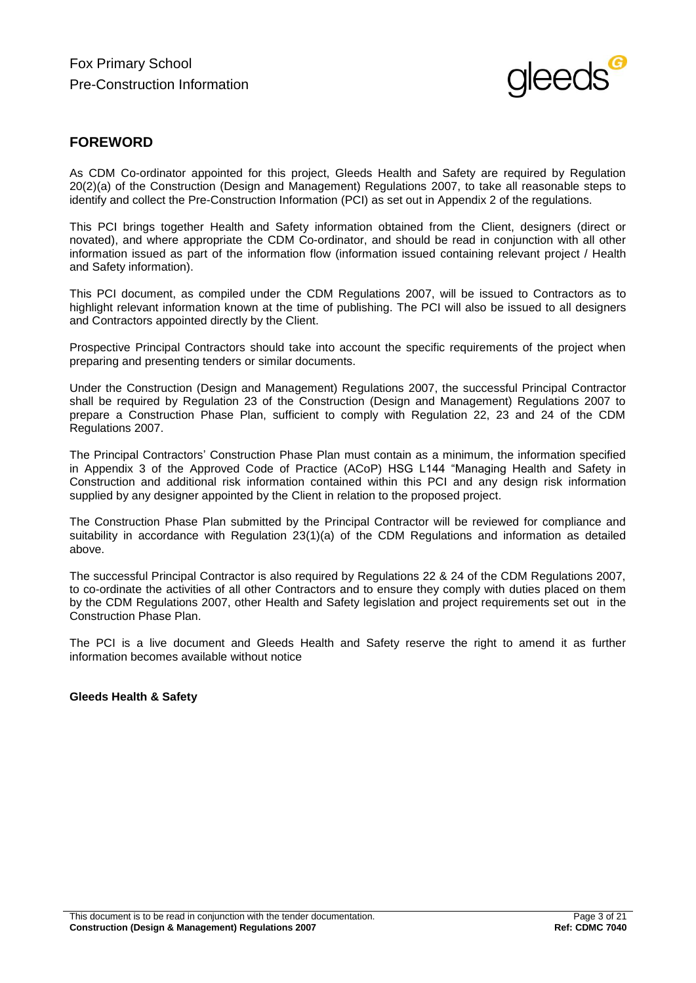

## **FOREWORD**

As CDM Co-ordinator appointed for this project, Gleeds Health and Safety are required by Regulation 20(2)(a) of the Construction (Design and Management) Regulations 2007, to take all reasonable steps to identify and collect the Pre-Construction Information (PCI) as set out in Appendix 2 of the regulations.

This PCI brings together Health and Safety information obtained from the Client, designers (direct or novated), and where appropriate the CDM Co-ordinator, and should be read in conjunction with all other information issued as part of the information flow (information issued containing relevant project / Health and Safety information).

This PCI document, as compiled under the CDM Regulations 2007, will be issued to Contractors as to highlight relevant information known at the time of publishing. The PCI will also be issued to all designers and Contractors appointed directly by the Client.

Prospective Principal Contractors should take into account the specific requirements of the project when preparing and presenting tenders or similar documents.

Under the Construction (Design and Management) Regulations 2007, the successful Principal Contractor shall be required by Regulation 23 of the Construction (Design and Management) Regulations 2007 to prepare a Construction Phase Plan, sufficient to comply with Regulation 22, 23 and 24 of the CDM Regulations 2007.

The Principal Contractors' Construction Phase Plan must contain as a minimum, the information specified in Appendix 3 of the Approved Code of Practice (ACoP) HSG L144 "Managing Health and Safety in Construction and additional risk information contained within this PCI and any design risk information supplied by any designer appointed by the Client in relation to the proposed project.

The Construction Phase Plan submitted by the Principal Contractor will be reviewed for compliance and suitability in accordance with Regulation 23(1)(a) of the CDM Regulations and information as detailed above.

The successful Principal Contractor is also required by Regulations 22 & 24 of the CDM Regulations 2007, to co-ordinate the activities of all other Contractors and to ensure they comply with duties placed on them by the CDM Regulations 2007, other Health and Safety legislation and project requirements set out in the Construction Phase Plan.

The PCI is a live document and Gleeds Health and Safety reserve the right to amend it as further information becomes available without notice

### **Gleeds Health & Safety**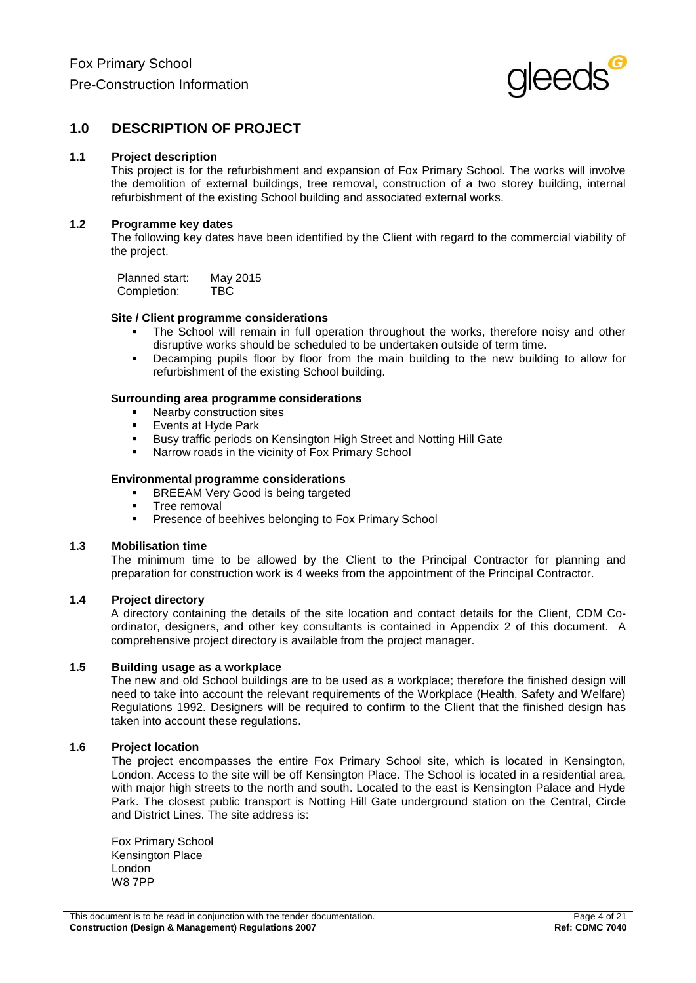

## **1.0 DESCRIPTION OF PROJECT**

#### **1.1 Project description**

This project is for the refurbishment and expansion of Fox Primary School. The works will involve the demolition of external buildings, tree removal, construction of a two storey building, internal refurbishment of the existing School building and associated external works.

#### **1.2 Programme key dates**

The following key dates have been identified by the Client with regard to the commercial viability of the project.

Planned start: May 2015<br>Completion: TBC Completion:

#### **Site / Client programme considerations**

- The School will remain in full operation throughout the works, therefore noisy and other disruptive works should be scheduled to be undertaken outside of term time.
- Decamping pupils floor by floor from the main building to the new building to allow for refurbishment of the existing School building.

#### **Surrounding area programme considerations**

- Nearby construction sites
- **Events at Hyde Park**
- **Busy traffic periods on Kensington High Street and Notting Hill Gate**
- Narrow roads in the vicinity of Fox Primary School

#### **Environmental programme considerations**

- **BREEAM Very Good is being targeted**
- Tree removal<br>Presence of h
- Presence of beehives belonging to Fox Primary School

#### **1.3 Mobilisation time**

The minimum time to be allowed by the Client to the Principal Contractor for planning and preparation for construction work is 4 weeks from the appointment of the Principal Contractor.

#### **1.4 Project directory**

A directory containing the details of the site location and contact details for the Client, CDM Coordinator, designers, and other key consultants is contained in Appendix 2 of this document. A comprehensive project directory is available from the project manager.

#### **1.5 Building usage as a workplace**

The new and old School buildings are to be used as a workplace; therefore the finished design will need to take into account the relevant requirements of the Workplace (Health, Safety and Welfare) Regulations 1992. Designers will be required to confirm to the Client that the finished design has taken into account these regulations.

### **1.6 Project location**

The project encompasses the entire Fox Primary School site, which is located in Kensington, London. Access to the site will be off Kensington Place. The School is located in a residential area, with major high streets to the north and south. Located to the east is Kensington Palace and Hyde Park. The closest public transport is Notting Hill Gate underground station on the Central, Circle and District Lines. The site address is:

Fox Primary School Kensington Place London W8 7PP

This document is to be read in conjunction with the tender documentation. Page 4 of 21<br>Construction (Design & Management) Regulations 2007<br>Ref: CDMC 7040 **Construction (Design & Management) Regulations 2007**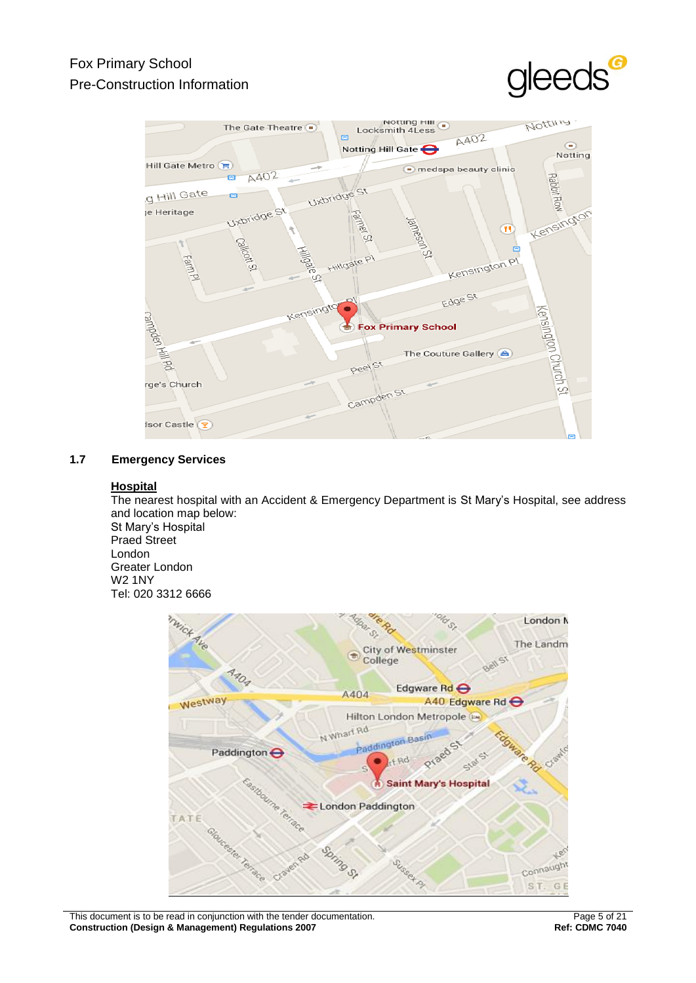# Fox Primary School Pre-Construction Information





## **1.7 Emergency Services**

### **Hospital**

The nearest hospital with an Accident & Emergency Department is St Mary's Hospital, see address and location map below: St Mary's Hospital Praed Street London Greater London W2 1NY Tel: 020 3312 6666



This document is to be read in conjunction with the tender documentation. Page 5 of 21<br>Construction (Design & Management) Regulations 2007<br>Ref: CDMC 7040 **Construction (Design & Management) Regulations 2007**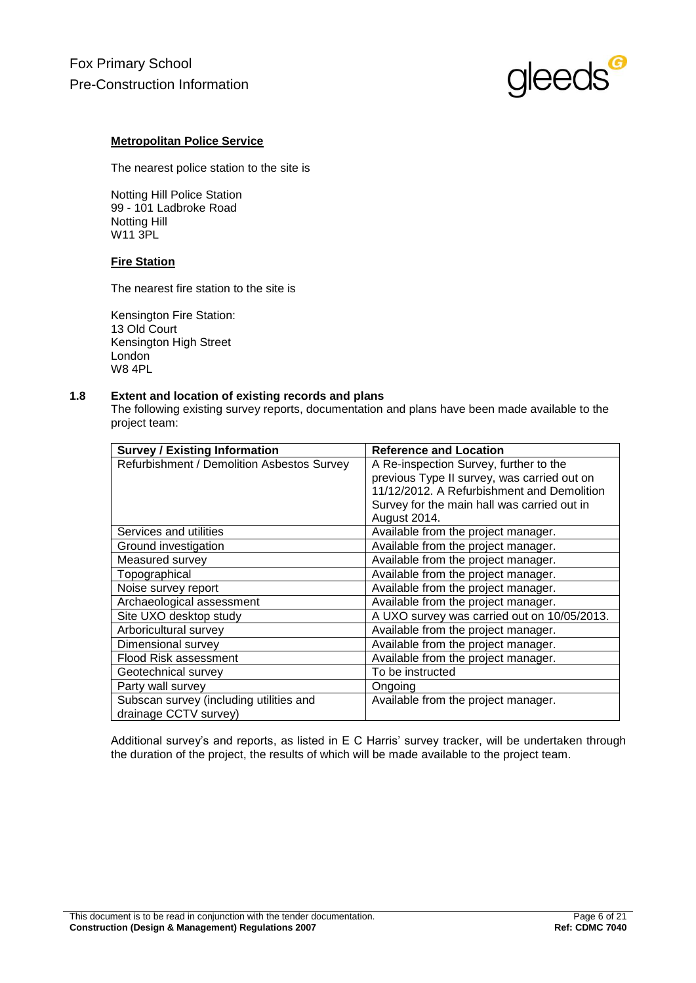

### **Metropolitan Police Service**

The nearest police station to the site is

Notting Hill Police Station 99 - 101 Ladbroke Road Notting Hill W11 3PL

### **Fire Station**

The nearest fire station to the site is

Kensington Fire Station: 13 Old Court Kensington High Street London W8 4PL

### **1.8 Extent and location of existing records and plans**

The following existing survey reports, documentation and plans have been made available to the project team:

| <b>Survey / Existing Information</b>       | <b>Reference and Location</b>               |  |  |
|--------------------------------------------|---------------------------------------------|--|--|
| Refurbishment / Demolition Asbestos Survey | A Re-inspection Survey, further to the      |  |  |
|                                            | previous Type II survey, was carried out on |  |  |
|                                            | 11/12/2012. A Refurbishment and Demolition  |  |  |
|                                            | Survey for the main hall was carried out in |  |  |
|                                            | August 2014.                                |  |  |
| Services and utilities                     | Available from the project manager.         |  |  |
| Ground investigation                       | Available from the project manager.         |  |  |
| Measured survey                            | Available from the project manager.         |  |  |
| Topographical                              | Available from the project manager.         |  |  |
| Noise survey report                        | Available from the project manager.         |  |  |
| Archaeological assessment                  | Available from the project manager.         |  |  |
| Site UXO desktop study                     | A UXO survey was carried out on 10/05/2013. |  |  |
| Arboricultural survey                      | Available from the project manager.         |  |  |
| Dimensional survey                         | Available from the project manager.         |  |  |
| <b>Flood Risk assessment</b>               | Available from the project manager.         |  |  |
| Geotechnical survey                        | To be instructed                            |  |  |
| Party wall survey                          | Ongoing                                     |  |  |
| Subscan survey (including utilities and    | Available from the project manager.         |  |  |
| drainage CCTV survey)                      |                                             |  |  |

Additional survey's and reports, as listed in E C Harris' survey tracker, will be undertaken through the duration of the project, the results of which will be made available to the project team.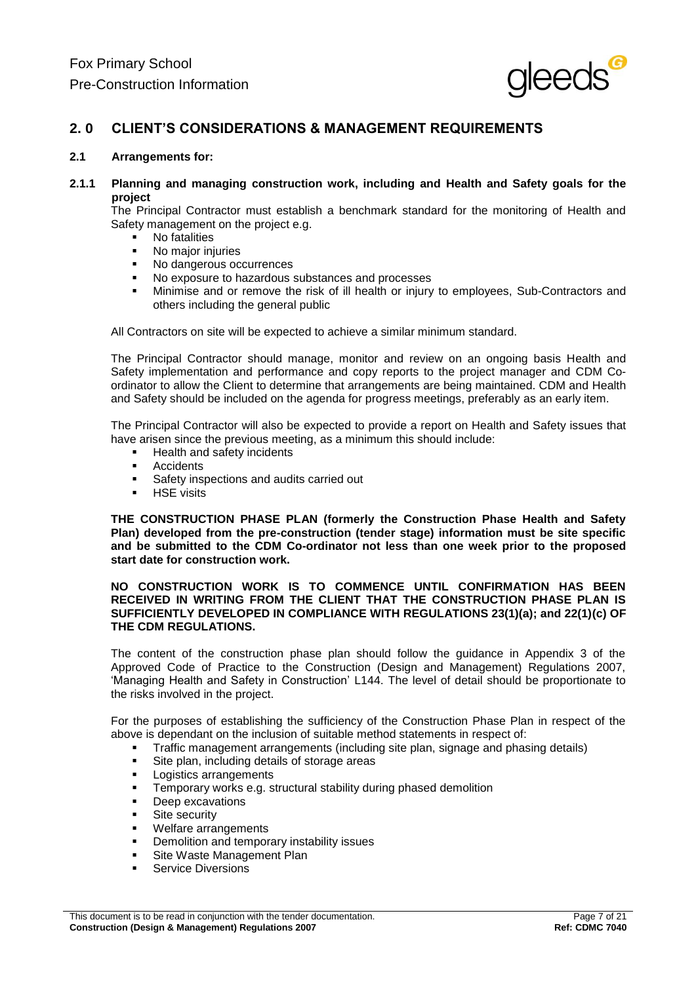

## **2. 0 CLIENT'S CONSIDERATIONS & MANAGEMENT REQUIREMENTS**

#### **2.1 Arrangements for:**

**2.1.1 Planning and managing construction work, including and Health and Safety goals for the project**

The Principal Contractor must establish a benchmark standard for the monitoring of Health and Safety management on the project e.g.

- No fatalities<br>No maior ini
- No major injuries
- No dangerous occurrences
- No exposure to hazardous substances and processes<br>Minimise and or remove the risk of ill health or injury
- Minimise and or remove the risk of ill health or injury to employees, Sub-Contractors and others including the general public

All Contractors on site will be expected to achieve a similar minimum standard.

The Principal Contractor should manage, monitor and review on an ongoing basis Health and Safety implementation and performance and copy reports to the project manager and CDM Coordinator to allow the Client to determine that arrangements are being maintained. CDM and Health and Safety should be included on the agenda for progress meetings, preferably as an early item.

The Principal Contractor will also be expected to provide a report on Health and Safety issues that have arisen since the previous meeting, as a minimum this should include:

- **Health and safety incidents**
- Accidents<br>Safety ins
- Safety inspections and audits carried out<br>BE Visits
- HSE visits

**THE CONSTRUCTION PHASE PLAN (formerly the Construction Phase Health and Safety Plan) developed from the pre-construction (tender stage) information must be site specific and be submitted to the CDM Co-ordinator not less than one week prior to the proposed start date for construction work.**

#### **NO CONSTRUCTION WORK IS TO COMMENCE UNTIL CONFIRMATION HAS BEEN RECEIVED IN WRITING FROM THE CLIENT THAT THE CONSTRUCTION PHASE PLAN IS SUFFICIENTLY DEVELOPED IN COMPLIANCE WITH REGULATIONS 23(1)(a); and 22(1)(c) OF THE CDM REGULATIONS.**

The content of the construction phase plan should follow the guidance in Appendix 3 of the Approved Code of Practice to the Construction (Design and Management) Regulations 2007, 'Managing Health and Safety in Construction' L144. The level of detail should be proportionate to the risks involved in the project.

For the purposes of establishing the sufficiency of the Construction Phase Plan in respect of the above is dependant on the inclusion of suitable method statements in respect of:

- Traffic management arrangements (including site plan, signage and phasing details)
- Site plan, including details of storage areas
- Logistics arrangements
- Temporary works e.g. structural stability during phased demolition
- **Deep excavations**
- **Site security**
- Welfare arrangements
- **•** Demolition and temporary instability issues
- Site Waste Management Plan
- Service Diversions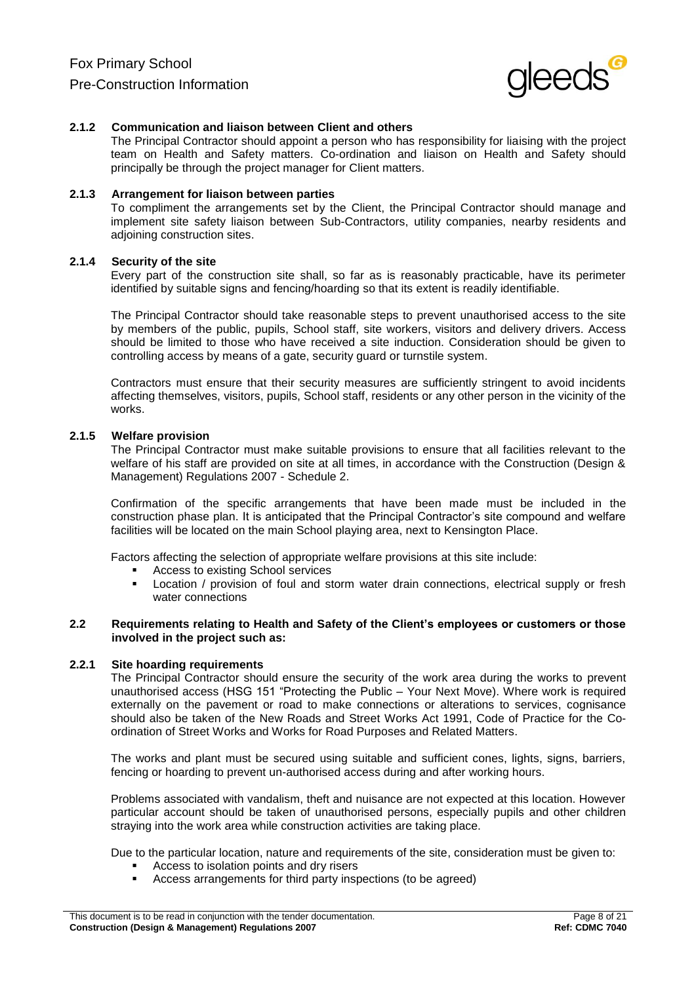

#### **2.1.2 Communication and liaison between Client and others**

The Principal Contractor should appoint a person who has responsibility for liaising with the project team on Health and Safety matters. Co-ordination and liaison on Health and Safety should principally be through the project manager for Client matters.

#### **2.1.3 Arrangement for liaison between parties**

To compliment the arrangements set by the Client, the Principal Contractor should manage and implement site safety liaison between Sub-Contractors, utility companies, nearby residents and adjoining construction sites.

#### **2.1.4 Security of the site**

Every part of the construction site shall, so far as is reasonably practicable, have its perimeter identified by suitable signs and fencing/hoarding so that its extent is readily identifiable.

The Principal Contractor should take reasonable steps to prevent unauthorised access to the site by members of the public, pupils, School staff, site workers, visitors and delivery drivers. Access should be limited to those who have received a site induction. Consideration should be given to controlling access by means of a gate, security guard or turnstile system.

Contractors must ensure that their security measures are sufficiently stringent to avoid incidents affecting themselves, visitors, pupils, School staff, residents or any other person in the vicinity of the works.

#### **2.1.5 Welfare provision**

The Principal Contractor must make suitable provisions to ensure that all facilities relevant to the welfare of his staff are provided on site at all times, in accordance with the Construction (Design & Management) Regulations 2007 - Schedule 2.

Confirmation of the specific arrangements that have been made must be included in the construction phase plan. It is anticipated that the Principal Contractor's site compound and welfare facilities will be located on the main School playing area, next to Kensington Place.

Factors affecting the selection of appropriate welfare provisions at this site include:

- Access to existing School services
- Location / provision of foul and storm water drain connections, electrical supply or fresh water connections

#### **2.2 Requirements relating to Health and Safety of the Client's employees or customers or those involved in the project such as:**

#### **2.2.1 Site hoarding requirements**

The Principal Contractor should ensure the security of the work area during the works to prevent unauthorised access (HSG 151 "Protecting the Public – Your Next Move). Where work is required externally on the pavement or road to make connections or alterations to services, cognisance should also be taken of the New Roads and Street Works Act 1991, Code of Practice for the Coordination of Street Works and Works for Road Purposes and Related Matters.

The works and plant must be secured using suitable and sufficient cones, lights, signs, barriers, fencing or hoarding to prevent un-authorised access during and after working hours.

Problems associated with vandalism, theft and nuisance are not expected at this location. However particular account should be taken of unauthorised persons, especially pupils and other children straying into the work area while construction activities are taking place.

Due to the particular location, nature and requirements of the site, consideration must be given to:

- **Access to isolation points and dry risers**
- Access arrangements for third party inspections (to be agreed)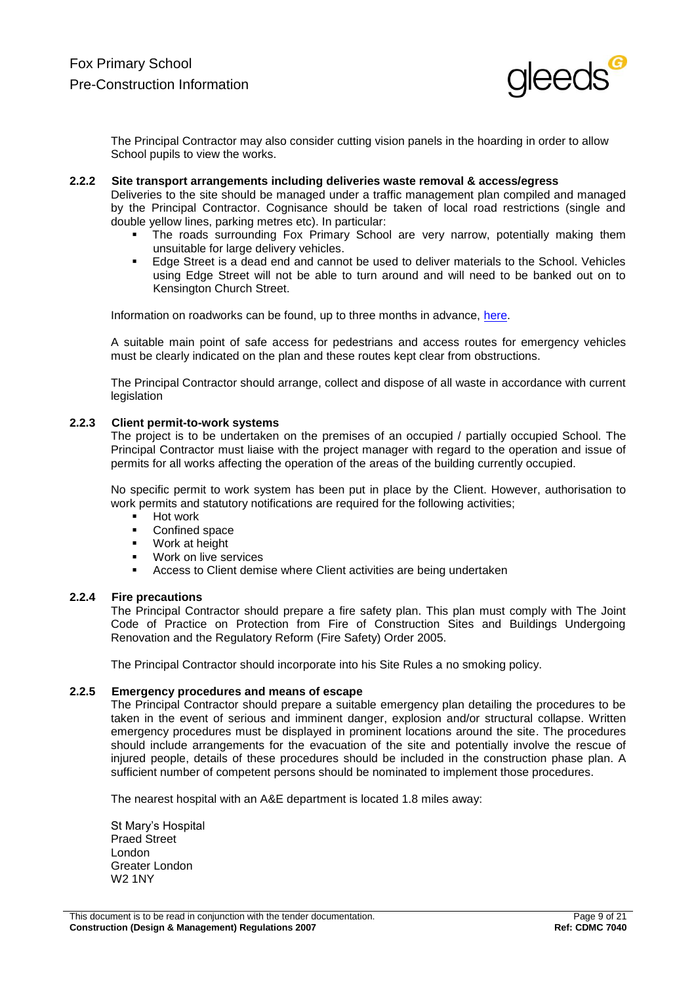

The Principal Contractor may also consider cutting vision panels in the hoarding in order to allow School pupils to view the works.

#### **2.2.2 Site transport arrangements including deliveries waste removal & access/egress**

Deliveries to the site should be managed under a traffic management plan compiled and managed by the Principal Contractor. Cognisance should be taken of local road restrictions (single and double yellow lines, parking metres etc). In particular:

- The roads surrounding Fox Primary School are very narrow, potentially making them unsuitable for large delivery vehicles.
- **Edge Street is a dead end and cannot be used to deliver materials to the School. Vehicles** using Edge Street will not be able to turn around and will need to be banked out on to Kensington Church Street.

Information on roadworks can be found, up to three months in advance, [here.](http://public.londonworks.gov.uk/roadworks/home)

A suitable main point of safe access for pedestrians and access routes for emergency vehicles must be clearly indicated on the plan and these routes kept clear from obstructions.

The Principal Contractor should arrange, collect and dispose of all waste in accordance with current legislation

#### **2.2.3 Client permit-to-work systems**

The project is to be undertaken on the premises of an occupied / partially occupied School. The Principal Contractor must liaise with the project manager with regard to the operation and issue of permits for all works affecting the operation of the areas of the building currently occupied.

No specific permit to work system has been put in place by the Client. However, authorisation to work permits and statutory notifications are required for the following activities;

- **Hot work**
- **•** Confined space
- Work at height
- Work on live services
- Access to Client demise where Client activities are being undertaken

#### **2.2.4 Fire precautions**

The Principal Contractor should prepare a fire safety plan. This plan must comply with The Joint Code of Practice on Protection from Fire of Construction Sites and Buildings Undergoing Renovation and the Regulatory Reform (Fire Safety) Order 2005.

The Principal Contractor should incorporate into his Site Rules a no smoking policy.

#### **2.2.5 Emergency procedures and means of escape**

The Principal Contractor should prepare a suitable emergency plan detailing the procedures to be taken in the event of serious and imminent danger, explosion and/or structural collapse. Written emergency procedures must be displayed in prominent locations around the site. The procedures should include arrangements for the evacuation of the site and potentially involve the rescue of injured people, details of these procedures should be included in the construction phase plan. A sufficient number of competent persons should be nominated to implement those procedures.

The nearest hospital with an A&E department is located 1.8 miles away:

St Mary's Hospital Praed Street London Greater London W2 1NY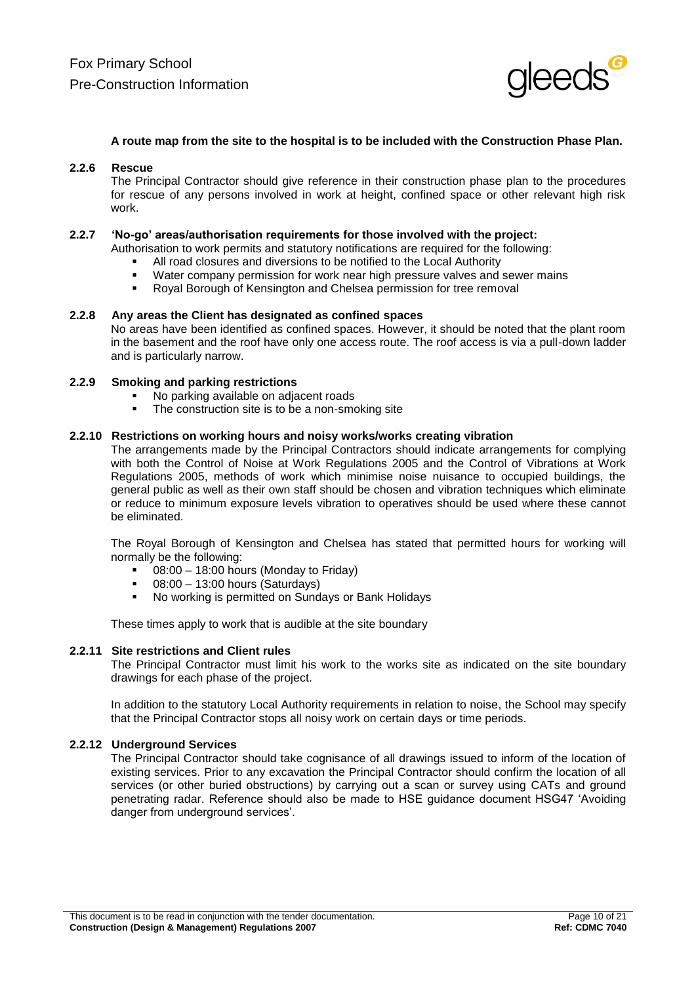

#### **A route map from the site to the hospital is to be included with the Construction Phase Plan.**

#### **2.2.6 Rescue**

The Principal Contractor should give reference in their construction phase plan to the procedures for rescue of any persons involved in work at height, confined space or other relevant high risk work.

#### **2.2.7 'No-go' areas/authorisation requirements for those involved with the project:**

Authorisation to work permits and statutory notifications are required for the following:

- All road closures and diversions to be notified to the Local Authority<br>• Water company permission for work pear high pressure valves and
- Water company permission for work near high pressure valves and sewer mains<br>Royal Borough of Kensington and Chelsea permission for tree removal
- Royal Borough of Kensington and Chelsea permission for tree removal

#### **2.2.8 Any areas the Client has designated as confined spaces**

No areas have been identified as confined spaces. However, it should be noted that the plant room in the basement and the roof have only one access route. The roof access is via a pull-down ladder and is particularly narrow.

#### **2.2.9 Smoking and parking restrictions**

- No parking available on adjacent roads
- The construction site is to be a non-smoking site

#### **2.2.10 Restrictions on working hours and noisy works/works creating vibration**

The arrangements made by the Principal Contractors should indicate arrangements for complying with both the Control of Noise at Work Regulations 2005 and the Control of Vibrations at Work Regulations 2005, methods of work which minimise noise nuisance to occupied buildings, the general public as well as their own staff should be chosen and vibration techniques which eliminate or reduce to minimum exposure levels vibration to operatives should be used where these cannot be eliminated.

The Royal Borough of Kensington and Chelsea has stated that permitted hours for working will normally be the following:

- 08:00 18:00 hours (Monday to Friday)
- 08:00 13:00 hours (Saturdays)
- No working is permitted on Sundays or Bank Holidays

These times apply to work that is audible at the site boundary

#### **2.2.11 Site restrictions and Client rules**

The Principal Contractor must limit his work to the works site as indicated on the site boundary drawings for each phase of the project.

In addition to the statutory Local Authority requirements in relation to noise, the School may specify that the Principal Contractor stops all noisy work on certain days or time periods.

#### **2.2.12 Underground Services**

The Principal Contractor should take cognisance of all drawings issued to inform of the location of existing services. Prior to any excavation the Principal Contractor should confirm the location of all services (or other buried obstructions) by carrying out a scan or survey using CATs and ground penetrating radar. Reference should also be made to HSE guidance document HSG47 'Avoiding danger from underground services'.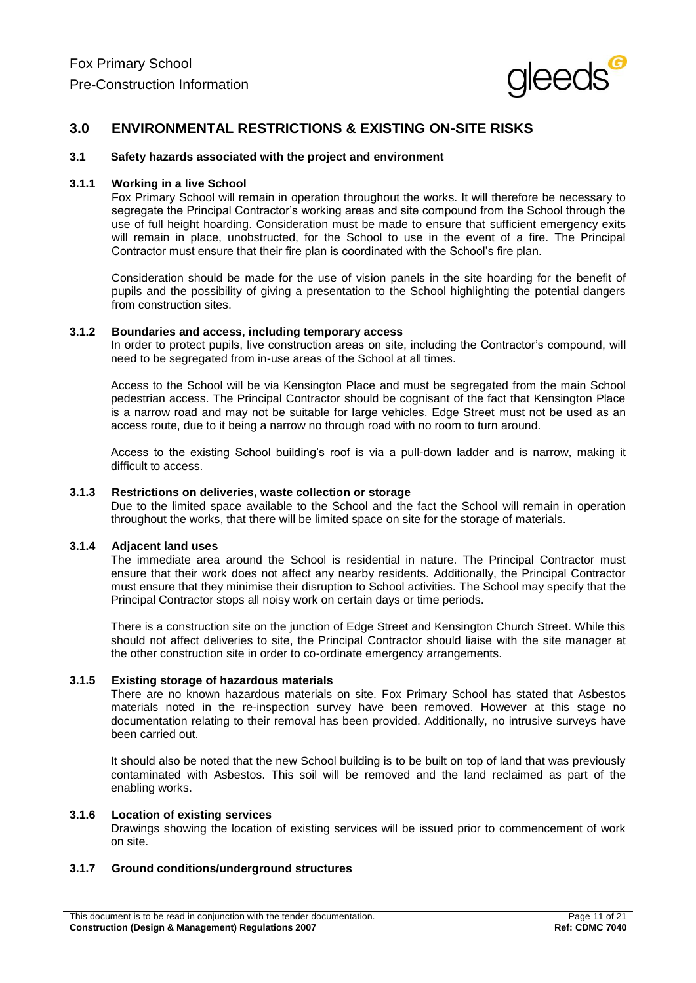

## **3.0 ENVIRONMENTAL RESTRICTIONS & EXISTING ON-SITE RISKS**

#### **3.1 Safety hazards associated with the project and environment**

#### **3.1.1 Working in a live School**

Fox Primary School will remain in operation throughout the works. It will therefore be necessary to segregate the Principal Contractor's working areas and site compound from the School through the use of full height hoarding. Consideration must be made to ensure that sufficient emergency exits will remain in place, unobstructed, for the School to use in the event of a fire. The Principal Contractor must ensure that their fire plan is coordinated with the School's fire plan.

Consideration should be made for the use of vision panels in the site hoarding for the benefit of pupils and the possibility of giving a presentation to the School highlighting the potential dangers from construction sites.

#### **3.1.2 Boundaries and access, including temporary access**

In order to protect pupils, live construction areas on site, including the Contractor's compound, will need to be segregated from in-use areas of the School at all times.

Access to the School will be via Kensington Place and must be segregated from the main School pedestrian access. The Principal Contractor should be cognisant of the fact that Kensington Place is a narrow road and may not be suitable for large vehicles. Edge Street must not be used as an access route, due to it being a narrow no through road with no room to turn around.

Access to the existing School building's roof is via a pull-down ladder and is narrow, making it difficult to access.

### **3.1.3 Restrictions on deliveries, waste collection or storage**

Due to the limited space available to the School and the fact the School will remain in operation throughout the works, that there will be limited space on site for the storage of materials.

#### **3.1.4 Adjacent land uses**

The immediate area around the School is residential in nature. The Principal Contractor must ensure that their work does not affect any nearby residents. Additionally, the Principal Contractor must ensure that they minimise their disruption to School activities. The School may specify that the Principal Contractor stops all noisy work on certain days or time periods.

There is a construction site on the junction of Edge Street and Kensington Church Street. While this should not affect deliveries to site, the Principal Contractor should liaise with the site manager at the other construction site in order to co-ordinate emergency arrangements.

#### **3.1.5 Existing storage of hazardous materials**

There are no known hazardous materials on site. Fox Primary School has stated that Asbestos materials noted in the re-inspection survey have been removed. However at this stage no documentation relating to their removal has been provided. Additionally, no intrusive surveys have been carried out.

It should also be noted that the new School building is to be built on top of land that was previously contaminated with Asbestos. This soil will be removed and the land reclaimed as part of the enabling works.

#### **3.1.6 Location of existing services**

Drawings showing the location of existing services will be issued prior to commencement of work on site.

### **3.1.7 Ground conditions/underground structures**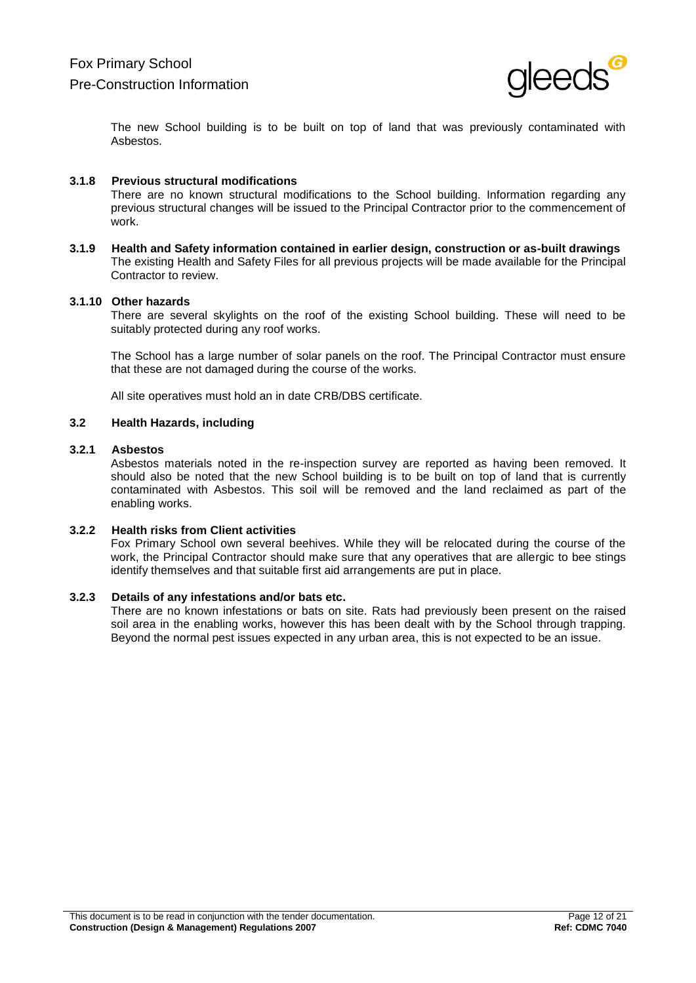

The new School building is to be built on top of land that was previously contaminated with Asbestos.

#### **3.1.8 Previous structural modifications**

There are no known structural modifications to the School building. Information regarding any previous structural changes will be issued to the Principal Contractor prior to the commencement of work.

**3.1.9 Health and Safety information contained in earlier design, construction or as-built drawings** The existing Health and Safety Files for all previous projects will be made available for the Principal Contractor to review.

#### **3.1.10 Other hazards**

There are several skylights on the roof of the existing School building. These will need to be suitably protected during any roof works.

The School has a large number of solar panels on the roof. The Principal Contractor must ensure that these are not damaged during the course of the works.

All site operatives must hold an in date CRB/DBS certificate.

#### **3.2 Health Hazards, including**

#### **3.2.1 Asbestos**

Asbestos materials noted in the re-inspection survey are reported as having been removed. It should also be noted that the new School building is to be built on top of land that is currently contaminated with Asbestos. This soil will be removed and the land reclaimed as part of the enabling works.

#### **3.2.2 Health risks from Client activities**

Fox Primary School own several beehives. While they will be relocated during the course of the work, the Principal Contractor should make sure that any operatives that are allergic to bee stings identify themselves and that suitable first aid arrangements are put in place.

### **3.2.3 Details of any infestations and/or bats etc.**

There are no known infestations or bats on site. Rats had previously been present on the raised soil area in the enabling works, however this has been dealt with by the School through trapping. Beyond the normal pest issues expected in any urban area, this is not expected to be an issue.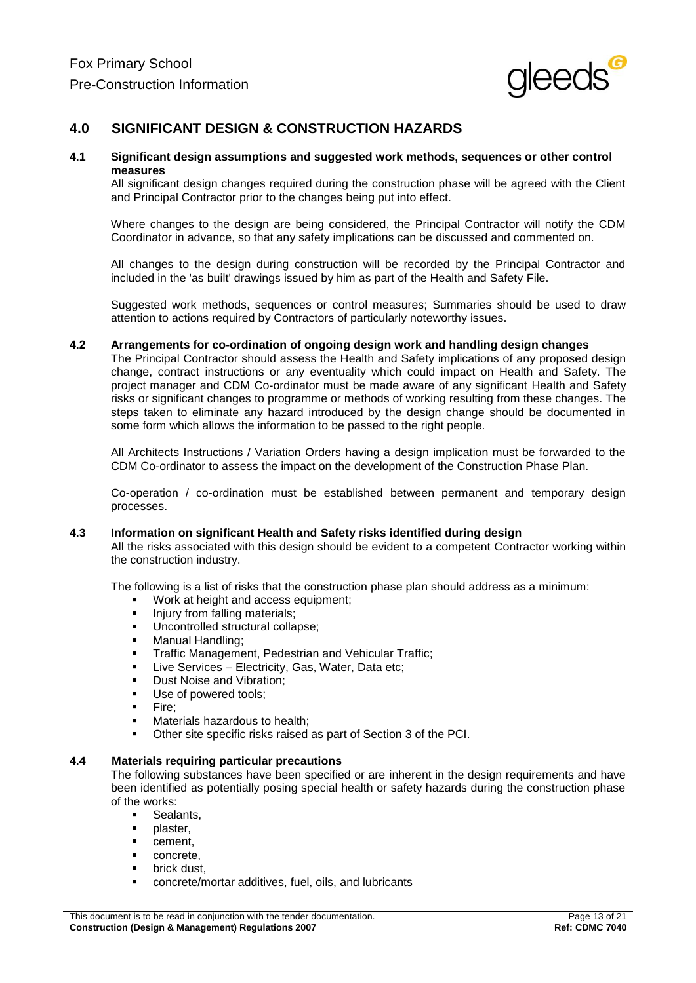

## **4.0 SIGNIFICANT DESIGN & CONSTRUCTION HAZARDS**

#### **4.1 Significant design assumptions and suggested work methods, sequences or other control measures**

All significant design changes required during the construction phase will be agreed with the Client and Principal Contractor prior to the changes being put into effect.

Where changes to the design are being considered, the Principal Contractor will notify the CDM Coordinator in advance, so that any safety implications can be discussed and commented on.

All changes to the design during construction will be recorded by the Principal Contractor and included in the 'as built' drawings issued by him as part of the Health and Safety File.

Suggested work methods, sequences or control measures; Summaries should be used to draw attention to actions required by Contractors of particularly noteworthy issues.

#### **4.2 Arrangements for co-ordination of ongoing design work and handling design changes**

The Principal Contractor should assess the Health and Safety implications of any proposed design change, contract instructions or any eventuality which could impact on Health and Safety. The project manager and CDM Co-ordinator must be made aware of any significant Health and Safety risks or significant changes to programme or methods of working resulting from these changes. The steps taken to eliminate any hazard introduced by the design change should be documented in some form which allows the information to be passed to the right people.

All Architects Instructions / Variation Orders having a design implication must be forwarded to the CDM Co-ordinator to assess the impact on the development of the Construction Phase Plan.

Co-operation / co-ordination must be established between permanent and temporary design processes.

#### **4.3 Information on significant Health and Safety risks identified during design**

All the risks associated with this design should be evident to a competent Contractor working within the construction industry.

The following is a list of risks that the construction phase plan should address as a minimum:

- Work at height and access equipment;
- **Injury from falling materials;**
- **Uncontrolled structural collapse;**
- **Manual Handling;**
- Traffic Management, Pedestrian and Vehicular Traffic;
- Live Services Electricity, Gas, Water, Data etc;
- Dust Noise and Vibration;
- **Use of powered tools;**
- Fire:
- **Materials hazardous to health;**
- Other site specific risks raised as part of Section 3 of the PCI.

#### **4.4 Materials requiring particular precautions**

The following substances have been specified or are inherent in the design requirements and have been identified as potentially posing special health or safety hazards during the construction phase of the works:

- **Sealants,**
- $\blacksquare$  plaster.
- **•** cement.
- concrete,
- brick dust,
- concrete/mortar additives, fuel, oils, and lubricants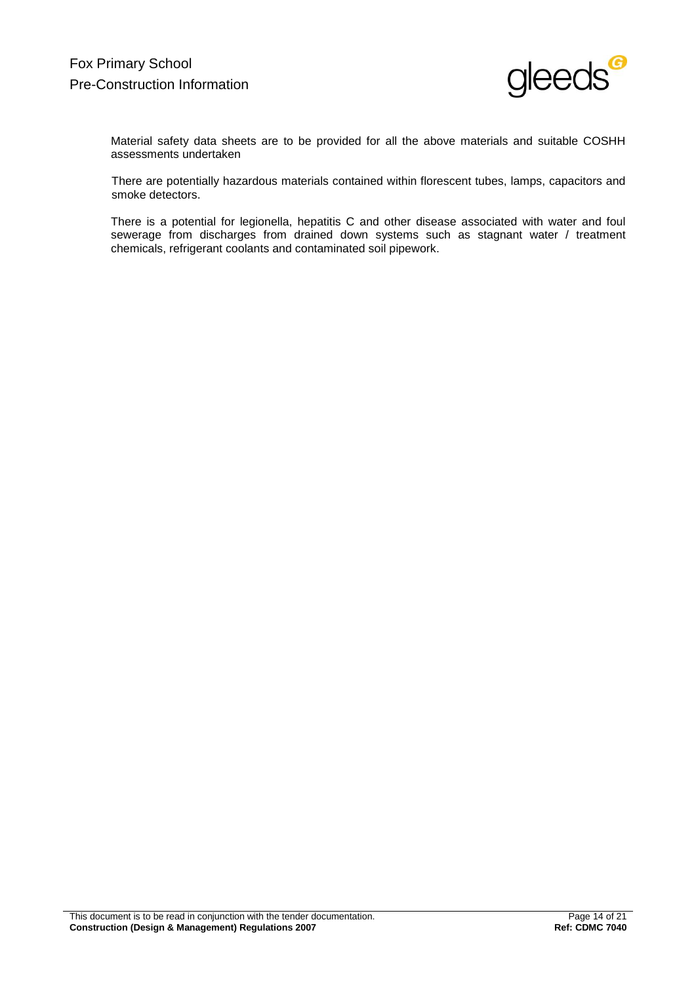

Material safety data sheets are to be provided for all the above materials and suitable COSHH assessments undertaken

There are potentially hazardous materials contained within florescent tubes, lamps, capacitors and smoke detectors.

There is a potential for legionella, hepatitis C and other disease associated with water and foul sewerage from discharges from drained down systems such as stagnant water / treatment chemicals, refrigerant coolants and contaminated soil pipework.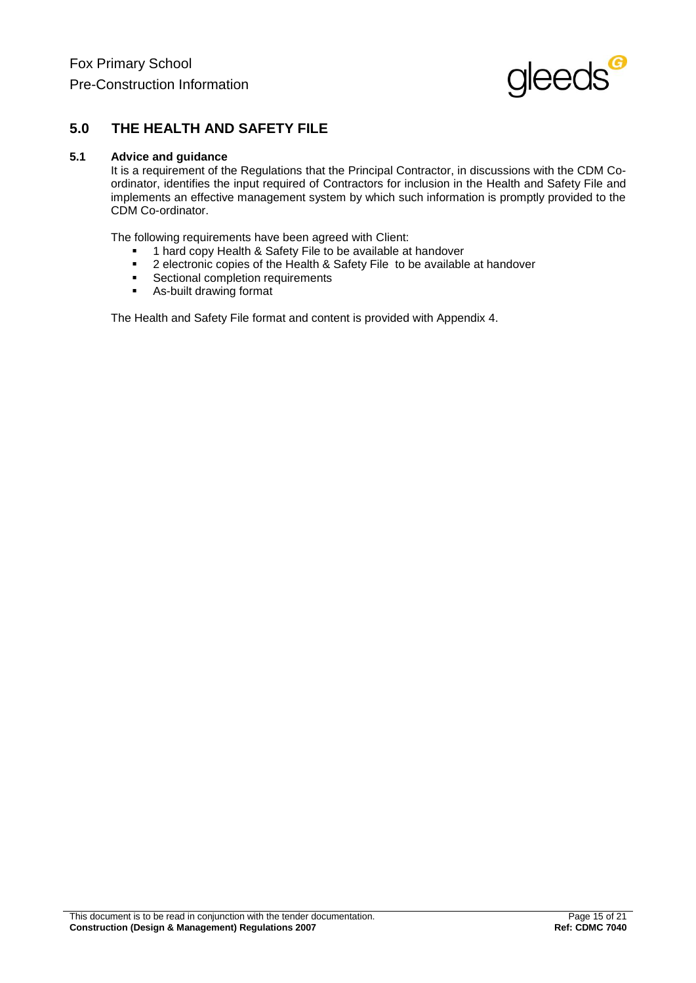

## **5.0 THE HEALTH AND SAFETY FILE**

### **5.1 Advice and guidance**

It is a requirement of the Regulations that the Principal Contractor, in discussions with the CDM Coordinator, identifies the input required of Contractors for inclusion in the Health and Safety File and implements an effective management system by which such information is promptly provided to the CDM Co-ordinator.

The following requirements have been agreed with Client:

- 1 hard copy Health & Safety File to be available at handover<br>■ 2 electronic copies of the Health & Safety File to be available
- 2 electronic copies of the Health & Safety File to be available at handover<br>■ Sectional completion requirements
- Sectional completion requirements<br>As-built drawing format
- As-built drawing format

The Health and Safety File format and content is provided with Appendix 4.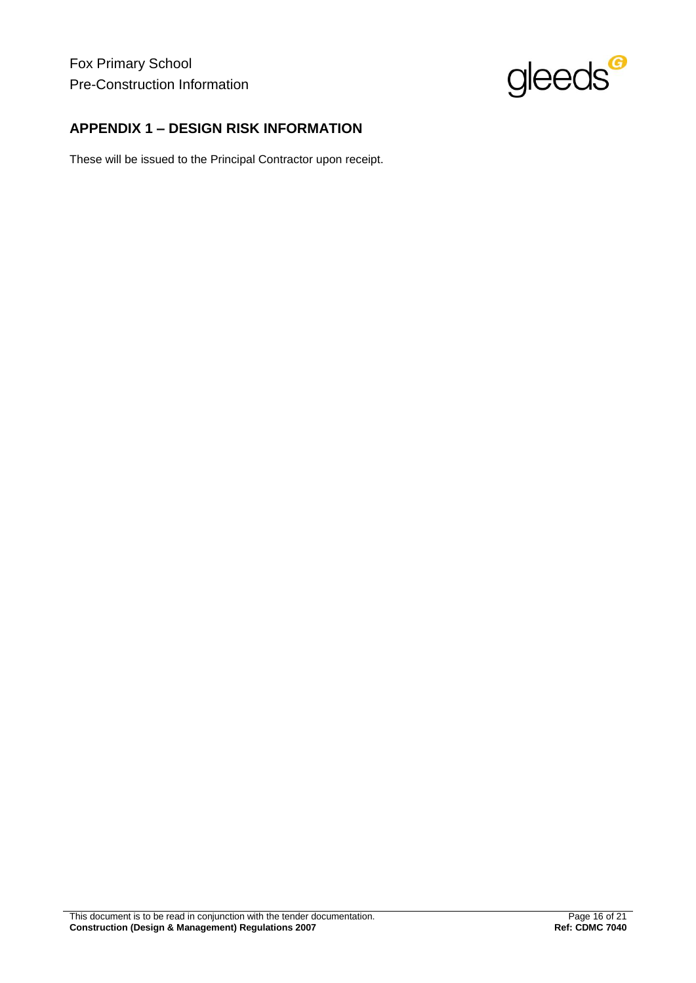Fox Primary School Pre-Construction Information



## **APPENDIX 1 – DESIGN RISK INFORMATION**

These will be issued to the Principal Contractor upon receipt.

This document is to be read in conjunction with the tender documentation. This document of the Page 16 of 21 **Construction (Design & Management) Regulations 2007 Ref: CDMC 7040**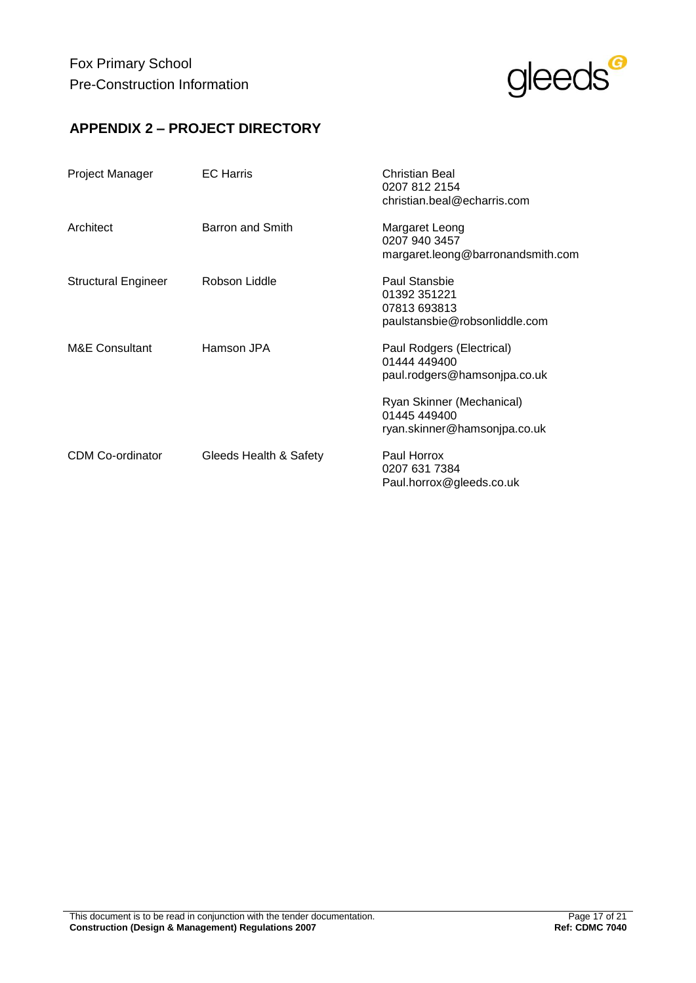

## **APPENDIX 2 – PROJECT DIRECTORY**

| Project Manager            | <b>EC</b> Harris       | Christian Beal<br>0207 812 2154<br>christian.beal@echarris.com                 |
|----------------------------|------------------------|--------------------------------------------------------------------------------|
| Architect                  | Barron and Smith       | Margaret Leong<br>0207 940 3457<br>margaret.leong@barronandsmith.com           |
| <b>Structural Engineer</b> | Robson Liddle          | Paul Stansbie<br>01392 351221<br>07813 693813<br>paulstansbie@robsonliddle.com |
| M&E Consultant             | Hamson JPA             | Paul Rodgers (Electrical)<br>01444 449400<br>paul.rodgers@hamsonjpa.co.uk      |
|                            |                        | Ryan Skinner (Mechanical)<br>01445 449400<br>ryan.skinner@hamsonjpa.co.uk      |
| <b>CDM Co-ordinator</b>    | Gleeds Health & Safety | Paul Horrox<br>0207 631 7384<br>Paul.horrox@gleeds.co.uk                       |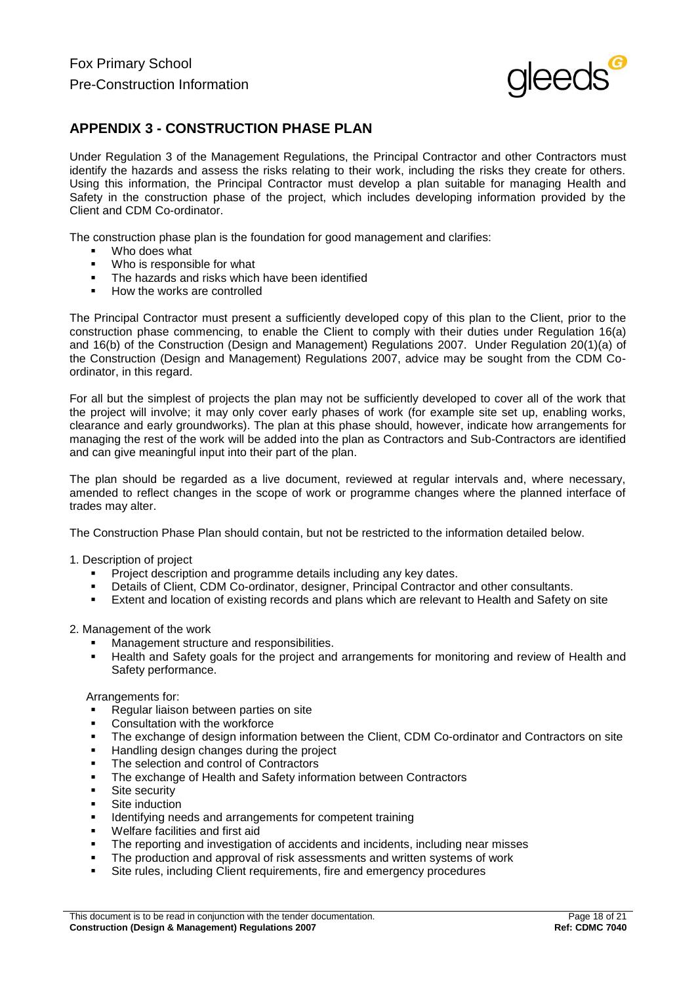

## **APPENDIX 3 - CONSTRUCTION PHASE PLAN**

Under Regulation 3 of the Management Regulations, the Principal Contractor and other Contractors must identify the hazards and assess the risks relating to their work, including the risks they create for others. Using this information, the Principal Contractor must develop a plan suitable for managing Health and Safety in the construction phase of the project, which includes developing information provided by the Client and CDM Co-ordinator.

The construction phase plan is the foundation for good management and clarifies:

- Who does what
- Who is responsible for what
- The hazards and risks which have been identified
- How the works are controlled

The Principal Contractor must present a sufficiently developed copy of this plan to the Client, prior to the construction phase commencing, to enable the Client to comply with their duties under Regulation 16(a) and 16(b) of the Construction (Design and Management) Regulations 2007. Under Regulation 20(1)(a) of the Construction (Design and Management) Regulations 2007, advice may be sought from the CDM Coordinator, in this regard.

For all but the simplest of projects the plan may not be sufficiently developed to cover all of the work that the project will involve; it may only cover early phases of work (for example site set up, enabling works, clearance and early groundworks). The plan at this phase should, however, indicate how arrangements for managing the rest of the work will be added into the plan as Contractors and Sub-Contractors are identified and can give meaningful input into their part of the plan.

The plan should be regarded as a live document, reviewed at regular intervals and, where necessary, amended to reflect changes in the scope of work or programme changes where the planned interface of trades may alter.

The Construction Phase Plan should contain, but not be restricted to the information detailed below.

#### 1. Description of project

- Project description and programme details including any key dates.
- Details of Client, CDM Co-ordinator, designer, Principal Contractor and other consultants.
- Extent and location of existing records and plans which are relevant to Health and Safety on site

#### 2. Management of the work

- Management structure and responsibilities.
- Health and Safety goals for the project and arrangements for monitoring and review of Health and Safety performance.

#### Arrangements for:

- Regular liaison between parties on site
- **Consultation with the workforce**
- The exchange of design information between the Client, CDM Co-ordinator and Contractors on site
- Handling design changes during the project
- The selection and control of Contractors
- The exchange of Health and Safety information between Contractors
- Site security
- Site induction
- Identifying needs and arrangements for competent training
- Welfare facilities and first aid
- The reporting and investigation of accidents and incidents, including near misses
- The production and approval of risk assessments and written systems of work
- Site rules, including Client requirements, fire and emergency procedures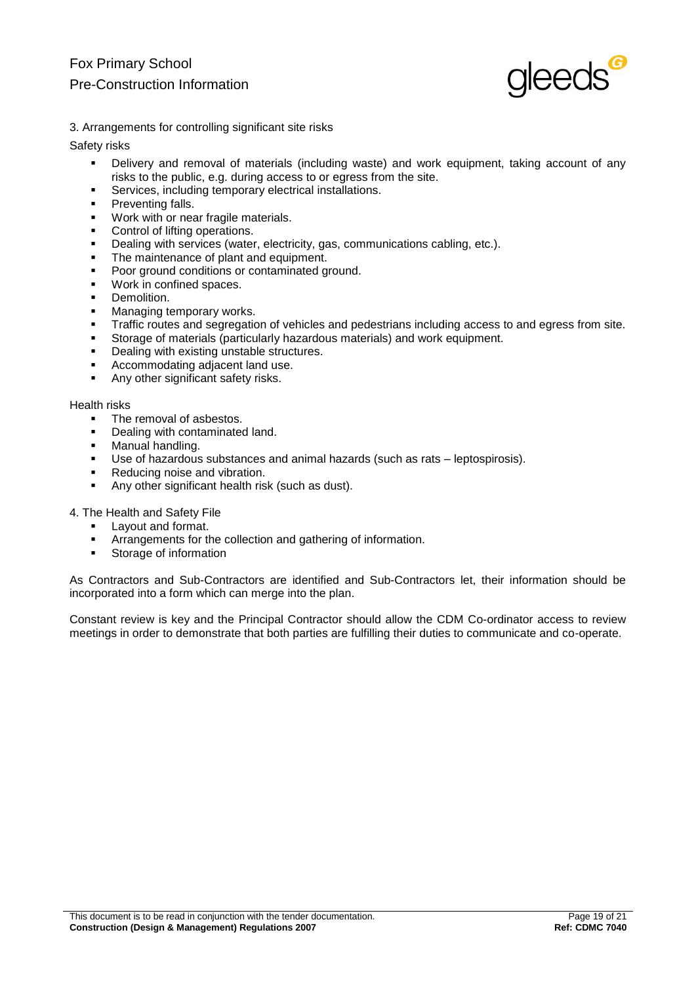

3. Arrangements for controlling significant site risks

Safety risks

- Delivery and removal of materials (including waste) and work equipment, taking account of any risks to the public, e.g. during access to or egress from the site.
- Services, including temporary electrical installations.
- Preventing falls.
- Work with or near fragile materials.
- Control of lifting operations.
- Dealing with services (water, electricity, gas, communications cabling, etc.).
- The maintenance of plant and equipment.
- Poor ground conditions or contaminated ground.
- Work in confined spaces.
- Demolition.
- Managing temporary works.
- Traffic routes and segregation of vehicles and pedestrians including access to and egress from site.
- Storage of materials (particularly hazardous materials) and work equipment.
- Dealing with existing unstable structures.
- Accommodating adjacent land use.
- Any other significant safety risks.

Health risks

- The removal of asbestos.
- Dealing with contaminated land.
- Manual handling.
- Use of hazardous substances and animal hazards (such as rats leptospirosis).
- Reducing noise and vibration.
- Any other significant health risk (such as dust).

4. The Health and Safety File

- Layout and format.
- Arrangements for the collection and gathering of information.
- **Storage of information**

As Contractors and Sub-Contractors are identified and Sub-Contractors let, their information should be incorporated into a form which can merge into the plan.

Constant review is key and the Principal Contractor should allow the CDM Co-ordinator access to review meetings in order to demonstrate that both parties are fulfilling their duties to communicate and co-operate.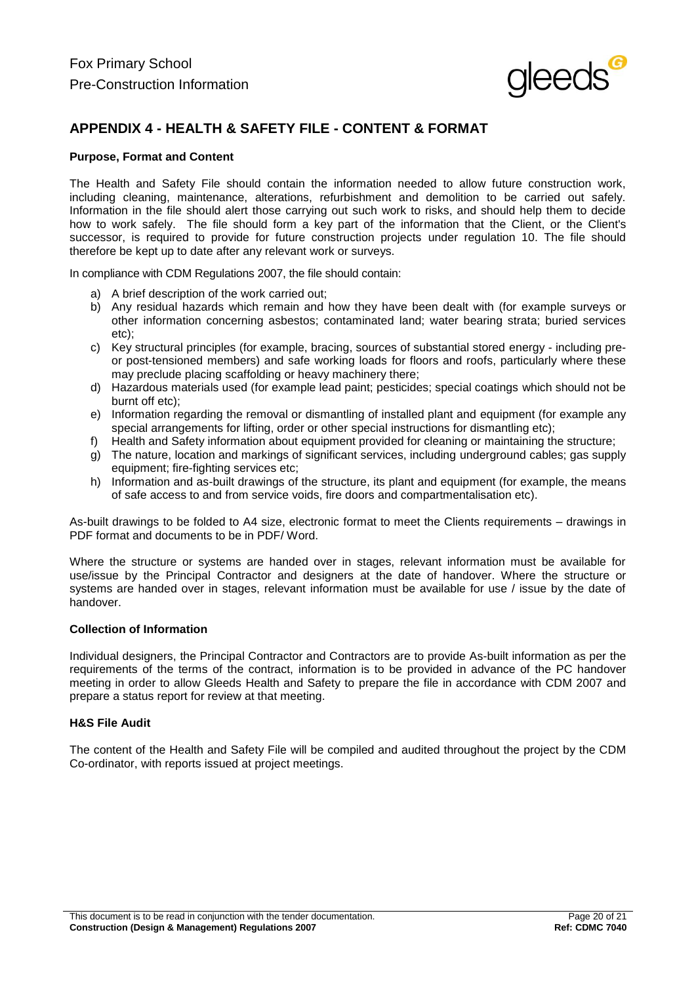

## **APPENDIX 4 - HEALTH & SAFETY FILE - CONTENT & FORMAT**

### **Purpose, Format and Content**

The Health and Safety File should contain the information needed to allow future construction work, including cleaning, maintenance, alterations, refurbishment and demolition to be carried out safely. Information in the file should alert those carrying out such work to risks, and should help them to decide how to work safely. The file should form a key part of the information that the Client, or the Client's successor, is required to provide for future construction projects under regulation 10. The file should therefore be kept up to date after any relevant work or surveys.

In compliance with CDM Regulations 2007, the file should contain:

- a) A brief description of the work carried out;
- b) Any residual hazards which remain and how they have been dealt with (for example surveys or other information concerning asbestos; contaminated land; water bearing strata; buried services etc);
- c) Key structural principles (for example, bracing, sources of substantial stored energy including preor post-tensioned members) and safe working loads for floors and roofs, particularly where these may preclude placing scaffolding or heavy machinery there;
- d) Hazardous materials used (for example lead paint; pesticides; special coatings which should not be burnt off etc);
- e) Information regarding the removal or dismantling of installed plant and equipment (for example any special arrangements for lifting, order or other special instructions for dismantling etc);
- f) Health and Safety information about equipment provided for cleaning or maintaining the structure;
- g) The nature, location and markings of significant services, including underground cables; gas supply equipment; fire-fighting services etc;
- h) Information and as-built drawings of the structure, its plant and equipment (for example, the means of safe access to and from service voids, fire doors and compartmentalisation etc).

As-built drawings to be folded to A4 size, electronic format to meet the Clients requirements – drawings in PDF format and documents to be in PDF/ Word.

Where the structure or systems are handed over in stages, relevant information must be available for use/issue by the Principal Contractor and designers at the date of handover. Where the structure or systems are handed over in stages, relevant information must be available for use / issue by the date of handover.

#### **Collection of Information**

Individual designers, the Principal Contractor and Contractors are to provide As-built information as per the requirements of the terms of the contract, information is to be provided in advance of the PC handover meeting in order to allow Gleeds Health and Safety to prepare the file in accordance with CDM 2007 and prepare a status report for review at that meeting.

#### **H&S File Audit**

The content of the Health and Safety File will be compiled and audited throughout the project by the CDM Co-ordinator, with reports issued at project meetings.